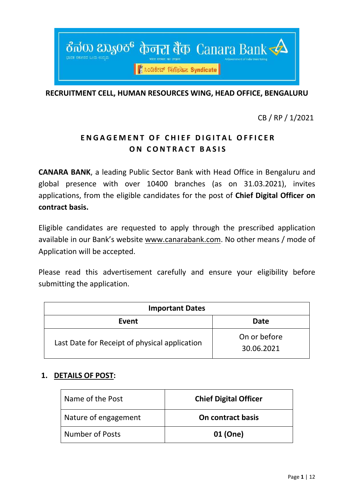

**RECRUITMENT CELL, HUMAN RESOURCES WING, HEAD OFFICE, BENGALURU**

CB / RP / 1/2021

# **ENGAGEMENT OF CHIEF DIGITAL OFFICER ON CONTRACT BASIS**

**CANARA BANK**, a leading Public Sector Bank with Head Office in Bengaluru and global presence with over 10400 branches (as on 31.03.2021), invites applications, from the eligible candidates for the post of **Chief Digital Officer on contract basis.** 

Eligible candidates are requested to apply through the prescribed application available in our Bank's website [www.canarabank.com.](http://www.canarabank.com/) No other means / mode of Application will be accepted.

Please read this advertisement carefully and ensure your eligibility before submitting the application.

| <b>Important Dates</b>                        |                            |  |  |  |
|-----------------------------------------------|----------------------------|--|--|--|
| Event                                         | Date                       |  |  |  |
| Last Date for Receipt of physical application | On or before<br>30.06.2021 |  |  |  |

## **1. DETAILS OF POST:**

| Name of the Post       | <b>Chief Digital Officer</b> |
|------------------------|------------------------------|
| Nature of engagement   | On contract basis            |
| <b>Number of Posts</b> | 01 (One)                     |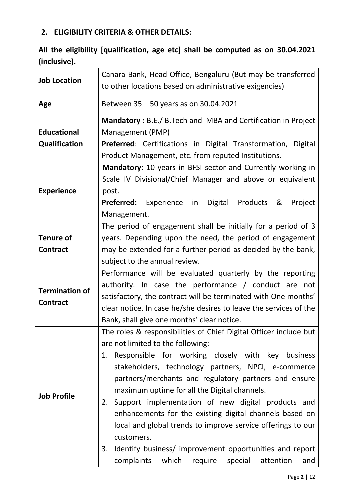# **2. ELIGIBILITY CRITERIA & OTHER DETAILS:**

# **All the eligibility [qualification, age etc] shall be computed as on 30.04.2021 (inclusive).**

| <b>Job Location</b>                                                                 | Canara Bank, Head Office, Bengaluru (But may be transferred<br>to other locations based on administrative exigencies)                                                                                                                                                                                                                                                                                                                                                                                                                                                                                                                                             |  |  |  |  |  |
|-------------------------------------------------------------------------------------|-------------------------------------------------------------------------------------------------------------------------------------------------------------------------------------------------------------------------------------------------------------------------------------------------------------------------------------------------------------------------------------------------------------------------------------------------------------------------------------------------------------------------------------------------------------------------------------------------------------------------------------------------------------------|--|--|--|--|--|
| Age                                                                                 | Between 35 - 50 years as on 30.04.2021                                                                                                                                                                                                                                                                                                                                                                                                                                                                                                                                                                                                                            |  |  |  |  |  |
| <b>Educational</b><br><b>Qualification</b><br><b>Experience</b><br><b>Tenure of</b> | Mandatory: B.E./ B.Tech and MBA and Certification in Project<br>Management (PMP)<br>Preferred: Certifications in Digital Transformation, Digital<br>Product Management, etc. from reputed Institutions.<br>Mandatory: 10 years in BFSI sector and Currently working in<br>Scale IV Divisional/Chief Manager and above or equivalent<br>post.<br>Preferred: Experience in<br>Digital Products &<br>Project<br>Management.<br>The period of engagement shall be initially for a period of 3<br>years. Depending upon the need, the period of engagement                                                                                                             |  |  |  |  |  |
| <b>Contract</b>                                                                     | may be extended for a further period as decided by the bank,                                                                                                                                                                                                                                                                                                                                                                                                                                                                                                                                                                                                      |  |  |  |  |  |
|                                                                                     | subject to the annual review.                                                                                                                                                                                                                                                                                                                                                                                                                                                                                                                                                                                                                                     |  |  |  |  |  |
| <b>Termination of</b><br><b>Contract</b>                                            | Performance will be evaluated quarterly by the reporting<br>authority. In case the performance / conduct are not<br>satisfactory, the contract will be terminated with One months'<br>clear notice. In case he/she desires to leave the services of the<br>Bank, shall give one months' clear notice.                                                                                                                                                                                                                                                                                                                                                             |  |  |  |  |  |
| <b>Job Profile</b>                                                                  | The roles & responsibilities of Chief Digital Officer include but<br>are not limited to the following:<br>1. Responsible for working closely with key business<br>stakeholders, technology partners, NPCI, e-commerce<br>partners/merchants and regulatory partners and ensure<br>maximum uptime for all the Digital channels.<br>Support implementation of new digital products and<br>2.<br>enhancements for the existing digital channels based on<br>local and global trends to improve service offerings to our<br>customers.<br>Identify business/ improvement opportunities and report<br>3.<br>complaints<br>which require<br>special<br>attention<br>and |  |  |  |  |  |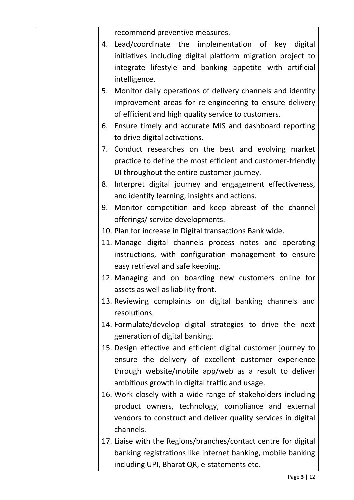|    | recommend preventive measures.                                  |
|----|-----------------------------------------------------------------|
|    | 4. Lead/coordinate the implementation of key digital            |
|    | initiatives including digital platform migration project to     |
|    | integrate lifestyle and banking appetite with artificial        |
|    | intelligence.                                                   |
| 5. | Monitor daily operations of delivery channels and identify      |
|    | improvement areas for re-engineering to ensure delivery         |
|    | of efficient and high quality service to customers.             |
|    | 6. Ensure timely and accurate MIS and dashboard reporting       |
|    | to drive digital activations.                                   |
| 7. | Conduct researches on the best and evolving market              |
|    | practice to define the most efficient and customer-friendly     |
|    | UI throughout the entire customer journey.                      |
| 8. | Interpret digital journey and engagement effectiveness,         |
|    | and identify learning, insights and actions.                    |
| 9. | Monitor competition and keep abreast of the channel             |
|    | offerings/ service developments.                                |
|    | 10. Plan for increase in Digital transactions Bank wide.        |
|    | 11. Manage digital channels process notes and operating         |
|    | instructions, with configuration management to ensure           |
|    | easy retrieval and safe keeping.                                |
|    | 12. Managing and on boarding new customers online for           |
|    | assets as well as liability front.                              |
|    | 13. Reviewing complaints on digital banking channels and        |
|    | resolutions.                                                    |
|    | 14. Formulate/develop digital strategies to drive the next      |
|    | generation of digital banking.                                  |
|    | 15. Design effective and efficient digital customer journey to  |
|    | ensure the delivery of excellent customer experience            |
|    | through website/mobile app/web as a result to deliver           |
|    |                                                                 |
|    | ambitious growth in digital traffic and usage.                  |
|    | 16. Work closely with a wide range of stakeholders including    |
|    | product owners, technology, compliance and external             |
|    | vendors to construct and deliver quality services in digital    |
|    | channels.                                                       |
|    | 17. Liaise with the Regions/branches/contact centre for digital |
|    | banking registrations like internet banking, mobile banking     |
|    | including UPI, Bharat QR, e-statements etc.                     |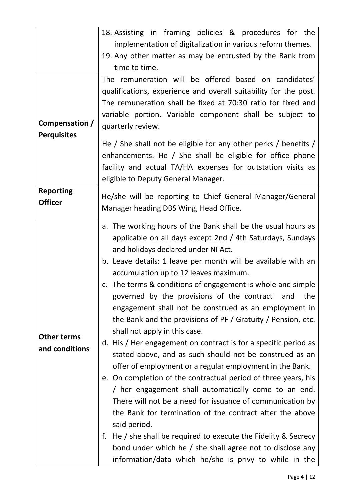|                                      | 18. Assisting in framing policies & procedures for the<br>implementation of digitalization in various reform themes.<br>19. Any other matter as may be entrusted by the Bank from<br>time to time.                                                                                                                                                                                                                                                                                                                                                                                                                                                                                                                                                                                                                                                                                                                                                                                                                                                                                                                                                                                                                         |  |  |  |  |
|--------------------------------------|----------------------------------------------------------------------------------------------------------------------------------------------------------------------------------------------------------------------------------------------------------------------------------------------------------------------------------------------------------------------------------------------------------------------------------------------------------------------------------------------------------------------------------------------------------------------------------------------------------------------------------------------------------------------------------------------------------------------------------------------------------------------------------------------------------------------------------------------------------------------------------------------------------------------------------------------------------------------------------------------------------------------------------------------------------------------------------------------------------------------------------------------------------------------------------------------------------------------------|--|--|--|--|
| Compensation /<br><b>Perquisites</b> | The remuneration will be offered based on candidates'<br>qualifications, experience and overall suitability for the post.<br>The remuneration shall be fixed at 70:30 ratio for fixed and<br>variable portion. Variable component shall be subject to<br>quarterly review.<br>He / She shall not be eligible for any other perks / benefits /<br>enhancements. He / She shall be eligible for office phone<br>facility and actual TA/HA expenses for outstation visits as<br>eligible to Deputy General Manager.                                                                                                                                                                                                                                                                                                                                                                                                                                                                                                                                                                                                                                                                                                           |  |  |  |  |
| <b>Reporting</b><br><b>Officer</b>   | He/she will be reporting to Chief General Manager/General<br>Manager heading DBS Wing, Head Office.                                                                                                                                                                                                                                                                                                                                                                                                                                                                                                                                                                                                                                                                                                                                                                                                                                                                                                                                                                                                                                                                                                                        |  |  |  |  |
| <b>Other terms</b><br>and conditions | a. The working hours of the Bank shall be the usual hours as<br>applicable on all days except 2nd / 4th Saturdays, Sundays<br>and holidays declared under NI Act.<br>b. Leave details: 1 leave per month will be available with an<br>accumulation up to 12 leaves maximum.<br>c. The terms & conditions of engagement is whole and simple<br>governed by the provisions of the contract<br>the<br>and<br>engagement shall not be construed as an employment in<br>the Bank and the provisions of PF / Gratuity / Pension, etc.<br>shall not apply in this case.<br>d. His / Her engagement on contract is for a specific period as<br>stated above, and as such should not be construed as an<br>offer of employment or a regular employment in the Bank.<br>e. On completion of the contractual period of three years, his<br>/ her engagement shall automatically come to an end.<br>There will not be a need for issuance of communication by<br>the Bank for termination of the contract after the above<br>said period.<br>He / she shall be required to execute the Fidelity & Secrecy<br>f.<br>bond under which he / she shall agree not to disclose any<br>information/data which he/she is privy to while in the |  |  |  |  |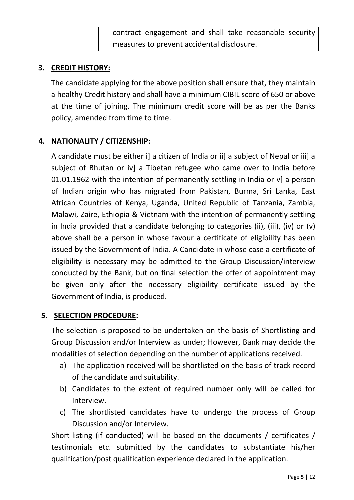| contract engagement and shall take reasonable security |
|--------------------------------------------------------|
| measures to prevent accidental disclosure.             |

### **3. CREDIT HISTORY:**

The candidate applying for the above position shall ensure that, they maintain a healthy Credit history and shall have a minimum CIBIL score of 650 or above at the time of joining. The minimum credit score will be as per the Banks policy, amended from time to time.

# **4. NATIONALITY / CITIZENSHIP:**

A candidate must be either i] a citizen of India or ii] a subject of Nepal or iii] a subject of Bhutan or iv] a Tibetan refugee who came over to India before 01.01.1962 with the intention of permanently settling in India or v] a person of Indian origin who has migrated from Pakistan, Burma, Sri Lanka, East African Countries of Kenya, Uganda, United Republic of Tanzania, Zambia, Malawi, Zaire, Ethiopia & Vietnam with the intention of permanently settling in India provided that a candidate belonging to categories (ii), (iii), (iv) or (v) above shall be a person in whose favour a certificate of eligibility has been issued by the Government of India. A Candidate in whose case a certificate of eligibility is necessary may be admitted to the Group Discussion/interview conducted by the Bank, but on final selection the offer of appointment may be given only after the necessary eligibility certificate issued by the Government of India, is produced.

## **5. SELECTION PROCEDURE:**

The selection is proposed to be undertaken on the basis of Shortlisting and Group Discussion and/or Interview as under; However, Bank may decide the modalities of selection depending on the number of applications received.

- a) The application received will be shortlisted on the basis of track record of the candidate and suitability.
- b) Candidates to the extent of required number only will be called for Interview.
- c) The shortlisted candidates have to undergo the process of Group Discussion and/or Interview.

Short-listing (if conducted) will be based on the documents / certificates / testimonials etc. submitted by the candidates to substantiate his/her qualification/post qualification experience declared in the application.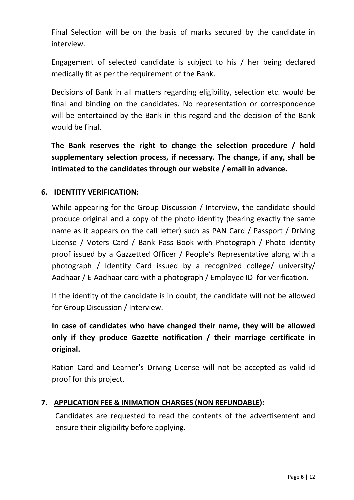Final Selection will be on the basis of marks secured by the candidate in interview.

Engagement of selected candidate is subject to his / her being declared medically fit as per the requirement of the Bank.

Decisions of Bank in all matters regarding eligibility, selection etc. would be final and binding on the candidates. No representation or correspondence will be entertained by the Bank in this regard and the decision of the Bank would be final.

**The Bank reserves the right to change the selection procedure / hold supplementary selection process, if necessary. The change, if any, shall be intimated to the candidates through our website / email in advance.**

# **6. IDENTITY VERIFICATION:**

While appearing for the Group Discussion / Interview, the candidate should produce original and a copy of the photo identity (bearing exactly the same name as it appears on the call letter) such as PAN Card / Passport / Driving License / Voters Card / Bank Pass Book with Photograph / Photo identity proof issued by a Gazzetted Officer / People's Representative along with a photograph / Identity Card issued by a recognized college/ university/ Aadhaar / E-Aadhaar card with a photograph / Employee ID for verification.

If the identity of the candidate is in doubt, the candidate will not be allowed for Group Discussion / Interview.

**In case of candidates who have changed their name, they will be allowed only if they produce Gazette notification / their marriage certificate in original.**

Ration Card and Learner's Driving License will not be accepted as valid id proof for this project.

#### **7. APPLICATION FEE & INIMATION CHARGES (NON REFUNDABLE):**

Candidates are requested to read the contents of the advertisement and ensure their eligibility before applying.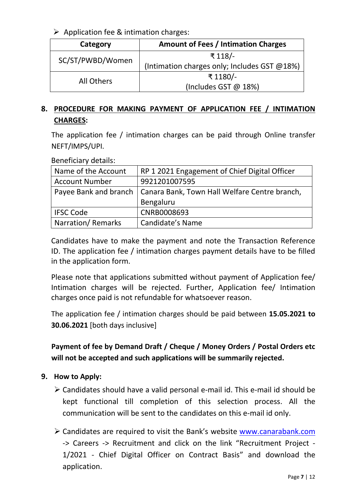$\triangleright$  Application fee & intimation charges:

| Category         | <b>Amount of Fees / Intimation Charges</b>   |  |  |  |
|------------------|----------------------------------------------|--|--|--|
| SC/ST/PWBD/Women | ₹ 118/-                                      |  |  |  |
|                  | (Intimation charges only; Includes GST @18%) |  |  |  |
| All Others       | ₹1180/-                                      |  |  |  |
|                  | (Includes GST $@$ 18%)                       |  |  |  |

# **8. PROCEDURE FOR MAKING PAYMENT OF APPLICATION FEE / INTIMATION CHARGES:**

The application fee / intimation charges can be paid through Online transfer NEFT/IMPS/UPI.

Beneficiary details:

| Name of the Account   | RP 1 2021 Engagement of Chief Digital Officer                         |  |  |  |
|-----------------------|-----------------------------------------------------------------------|--|--|--|
| <b>Account Number</b> | 9921201007595                                                         |  |  |  |
|                       | Payee Bank and branch   Canara Bank, Town Hall Welfare Centre branch, |  |  |  |
|                       | Bengaluru                                                             |  |  |  |
| <b>IFSC Code</b>      | CNRB0008693                                                           |  |  |  |
| Narration/Remarks     | Candidate's Name                                                      |  |  |  |

Candidates have to make the payment and note the Transaction Reference ID. The application fee / intimation charges payment details have to be filled in the application form.

Please note that applications submitted without payment of Application fee/ Intimation charges will be rejected. Further, Application fee/ Intimation charges once paid is not refundable for whatsoever reason.

The application fee / intimation charges should be paid between **15.05.2021 to 30.06.2021** [both days inclusive]

**Payment of fee by Demand Draft / Cheque / Money Orders / Postal Orders etc will not be accepted and such applications will be summarily rejected.**

## **9. How to Apply:**

- $\triangleright$  Candidates should have a valid personal e-mail id. This e-mail id should be kept functional till completion of this selection process. All the communication will be sent to the candidates on this e-mail id only.
- Candidates are required to visit the Bank's website [www.canarabank.com](http://www.canarabank.com/) -> Careers -> Recruitment and click on the link "Recruitment Project - 1/2021 - Chief Digital Officer on Contract Basis" and download the application.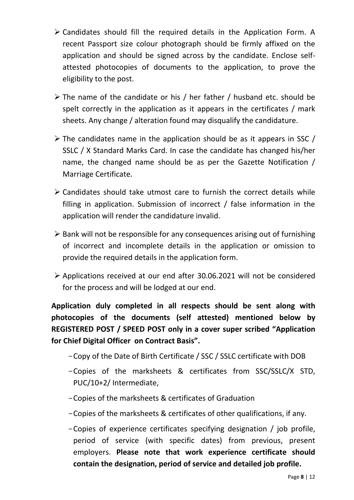- $\triangleright$  Candidates should fill the required details in the Application Form. A recent Passport size colour photograph should be firmly affixed on the application and should be signed across by the candidate. Enclose selfattested photocopies of documents to the application, to prove the eligibility to the post.
- The name of the candidate or his / her father / husband etc. should be spelt correctly in the application as it appears in the certificates / mark sheets. Any change / alteration found may disqualify the candidature.
- $\triangleright$  The candidates name in the application should be as it appears in SSC / SSLC / X Standard Marks Card. In case the candidate has changed his/her name, the changed name should be as per the Gazette Notification / Marriage Certificate.
- $\geq$  Candidates should take utmost care to furnish the correct details while filling in application. Submission of incorrect / false information in the application will render the candidature invalid.
- $\triangleright$  Bank will not be responsible for any consequences arising out of furnishing of incorrect and incomplete details in the application or omission to provide the required details in the application form.
- Applications received at our end after 30.06.2021 will not be considered for the process and will be lodged at our end.

**Application duly completed in all respects should be sent along with photocopies of the documents (self attested) mentioned below by REGISTERED POST / SPEED POST only in a cover super scribed "Application for Chief Digital Officer on Contract Basis".** 

- -Copy of the Date of Birth Certificate / SSC / SSLC certificate with DOB
- -Copies of the marksheets & certificates from SSC/SSLC/X STD, PUC/10+2/ Intermediate,
- -Copies of the marksheets & certificates of Graduation
- -Copies of the marksheets & certificates of other qualifications, if any.
- -Copies of experience certificates specifying designation / job profile, period of service (with specific dates) from previous, present employers. **Please note that work experience certificate should contain the designation, period of service and detailed job profile.**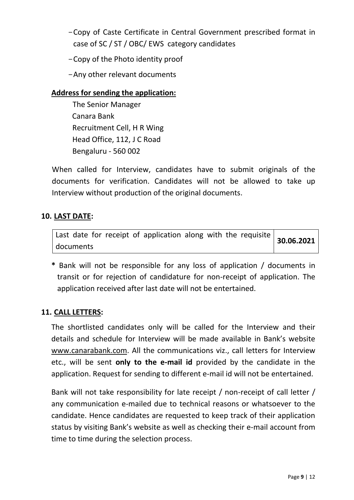- -Copy of Caste Certificate in Central Government prescribed format in case of SC / ST / OBC/ EWS category candidates
- -Copy of the Photo identity proof
- -Any other relevant documents

## **Address for sending the application:**

 The Senior Manager Canara Bank Recruitment Cell, H R Wing Head Office, 112, J C Road Bengaluru - 560 002

When called for Interview, candidates have to submit originals of the documents for verification. Candidates will not be allowed to take up Interview without production of the original documents.

# **10. LAST DATE:**

| Last date for receipt of application along with the requisite |  |  |  | 30.06.2021 |
|---------------------------------------------------------------|--|--|--|------------|
| documents                                                     |  |  |  |            |

**\*** Bank will not be responsible for any loss of application / documents in transit or for rejection of candidature for non-receipt of application. The application received after last date will not be entertained.

## **11. CALL LETTERS:**

The shortlisted candidates only will be called for the Interview and their details and schedule for Interview will be made available in Bank's website [www.canarabank.com.](http://www.canarabank.com/) All the communications viz., call letters for Interview etc., will be sent **only to the e-mail id** provided by the candidate in the application. Request for sending to different e-mail id will not be entertained.

Bank will not take responsibility for late receipt / non-receipt of call letter / any communication e-mailed due to technical reasons or whatsoever to the candidate. Hence candidates are requested to keep track of their application status by visiting Bank's website as well as checking their e-mail account from time to time during the selection process.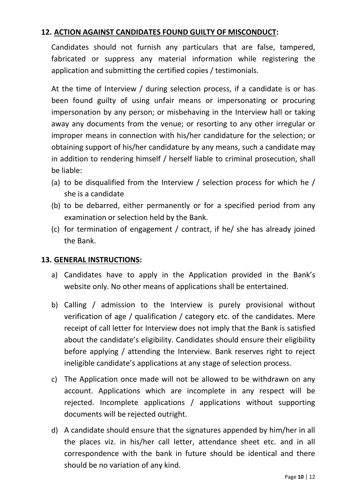### **12. ACTION AGAINST CANDIDATES FOUND GUILTY OF MISCONDUCT:**

Candidates should not furnish any particulars that are false, tampered, fabricated or suppress any material information while registering the application and submitting the certified copies / testimonials.

At the time of Interview / during selection process, if a candidate is or has been found guilty of using unfair means or impersonating or procuring impersonation by any person; or misbehaving in the Interview hall or taking away any documents from the venue; or resorting to any other irregular or improper means in connection with his/her candidature for the selection; or obtaining support of his/her candidature by any means, such a candidate may in addition to rendering himself / herself liable to criminal prosecution, shall be liable:

- (a) to be disqualified from the Interview / selection process for which he / she is a candidate
- (b) to be debarred, either permanently or for a specified period from any examination or selection held by the Bank.
- (c) for termination of engagement / contract, if he/ she has already joined the Bank.

#### **13. GENERAL INSTRUCTIONS:**

.

- a) Candidates have to apply in the Application provided in the Bank's website only. No other means of applications shall be entertained.
- b) Calling / admission to the Interview is purely provisional without verification of age / qualification / category etc. of the candidates. Mere receipt of call letter for Interview does not imply that the Bank is satisfied about the candidate's eligibility. Candidates should ensure their eligibility before applying / attending the Interview. Bank reserves right to reject ineligible candidate's applications at any stage of selection process.
- c) The Application once made will not be allowed to be withdrawn on any account. Applications which are incomplete in any respect will be rejected. Incomplete applications / applications without supporting documents will be rejected outright.
- d) A candidate should ensure that the signatures appended by him/her in all the places viz. in his/her call letter, attendance sheet etc. and in all correspondence with the bank in future should be identical and there should be no variation of any kind.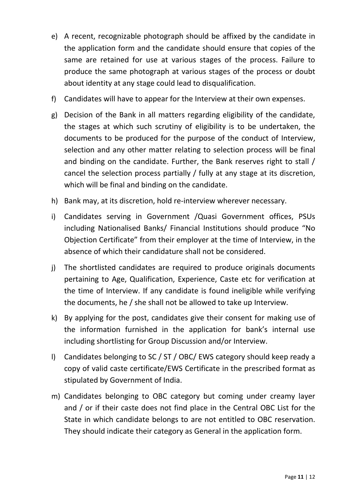- e) A recent, recognizable photograph should be affixed by the candidate in the application form and the candidate should ensure that copies of the same are retained for use at various stages of the process. Failure to produce the same photograph at various stages of the process or doubt about identity at any stage could lead to disqualification.
- f) Candidates will have to appear for the Interview at their own expenses.
- g) Decision of the Bank in all matters regarding eligibility of the candidate, the stages at which such scrutiny of eligibility is to be undertaken, the documents to be produced for the purpose of the conduct of Interview, selection and any other matter relating to selection process will be final and binding on the candidate. Further, the Bank reserves right to stall / cancel the selection process partially / fully at any stage at its discretion, which will be final and binding on the candidate.
- h) Bank may, at its discretion, hold re-interview wherever necessary.
- i) Candidates serving in Government /Quasi Government offices, PSUs including Nationalised Banks/ Financial Institutions should produce "No Objection Certificate" from their employer at the time of Interview, in the absence of which their candidature shall not be considered.
- j) The shortlisted candidates are required to produce originals documents pertaining to Age, Qualification, Experience, Caste etc for verification at the time of Interview. If any candidate is found ineligible while verifying the documents, he / she shall not be allowed to take up Interview.
- k) By applying for the post, candidates give their consent for making use of the information furnished in the application for bank's internal use including shortlisting for Group Discussion and/or Interview.
- l) Candidates belonging to SC / ST / OBC/ EWS category should keep ready a copy of valid caste certificate/EWS Certificate in the prescribed format as stipulated by Government of India.
- m) Candidates belonging to OBC category but coming under creamy layer and / or if their caste does not find place in the Central OBC List for the State in which candidate belongs to are not entitled to OBC reservation. They should indicate their category as General in the application form.